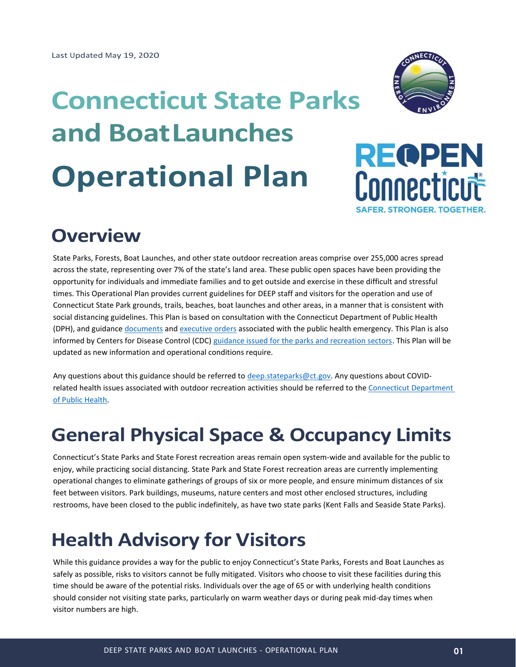# **Connecticut State Parks and BoatLaunches Operational Plan**



# **REQPEN** Connecticut **SAFER, STRONGER, TOGETHER.**

# **Overview**

State Parks, Forests, Boat Launches, and other state outdoor recreation areas comprise over 255,000 acres spread across the state, representing over 7% of the state's land area. These public open spaces have been providing the opportunity for individuals and immediate families and to get outside and exercise in these difficult and stressful times. This Operational Plan provides current guidelines for DEEP staff and visitors for the operation and use of Connecticut State Park grounds, trails, beaches, boat launches and other areas, in a manner that is consistent with social distancing guidelines. This Plan is based on consultation with the Connecticut Department of Public Health (DPH), and guidance [documents](https://portal.ct.gov/Coronavirus) and [executive orders](https://portal.ct.gov/Office-of-the-Governor/Governors-Actions/Executive-Orders/Governor-Lamonts-Executive-Orders) associated with the public health emergency. This Plan is also informed by Centers for Disease Control (CDC) [guidance issued for the parks and recreation sectors.](https://www.cdc.gov/coronavirus/2019-ncov/community/parks-rec/park-administrators.html) This Plan will be updated as new information and operational conditions require.

Any questions about this guidance should be referred to [deep.stateparks@ct.gov.](mailto:deep.stateparks@ct.gov) Any questions about COVIDrelated health issues associated with outdoor recreation activities should be referred to th[e Connecticut Department](https://portal.ct.gov/dph)  [of Public Health.](https://portal.ct.gov/dph)

# **General Physical Space & Occupancy Limits**

Connecticut's State Parks and State Forest recreation areas remain open system-wide and available for the public to enjoy, while practicing social distancing. State Park and State Forest recreation areas are currently implementing operational changes to eliminate gatherings of groups of six or more people, and ensure minimum distances of six feet between visitors. Park buildings, museums, nature centers and most other enclosed structures, including restrooms, have been closed to the public indefinitely, as have two state parks (Kent Falls and Seaside State Parks).

# **Health Advisory for Visitors**

While this guidance provides a way for the public to enjoy Connecticut's State Parks, Forests and Boat Launches as safely as possible, risks to visitors cannot be fully mitigated. Visitors who choose to visit these facilities during this time should be aware of the potential risks. Individuals over the age of 65 or with underlying health conditions should consider not visiting state parks, particularly on warm weather days or during peak mid-day times when visitor numbers are high.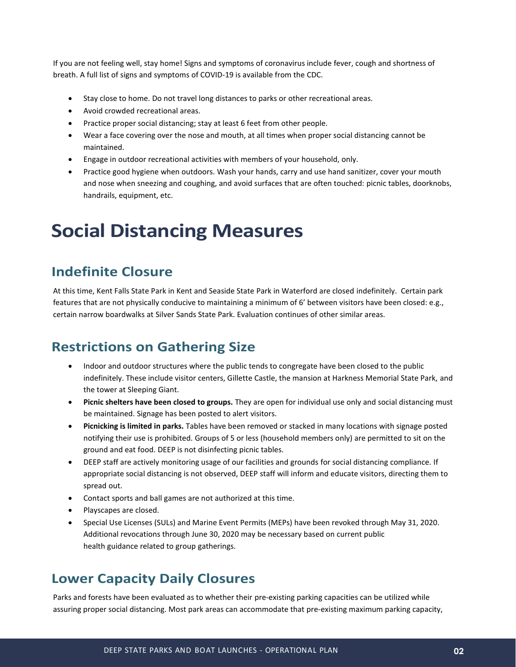If you are not feeling well, stay home! Signs and symptoms of coronavirus include fever, cough and shortness of breath. A full list of signs and symptoms of COVID-19 is available from the CDC.

- Stay close to home. Do not travel long distances to parks or other recreational areas.
- Avoid crowded recreational areas.
- Practice proper social distancing; stay at least 6 feet from other people.
- Wear a face covering over the nose and mouth, at all times when proper social distancing cannot be maintained.
- Engage in outdoor recreational activities with members of your household, only.
- Practice good hygiene when outdoors. Wash your hands, carry and use hand sanitizer, cover your mouth and nose when sneezing and coughing, and avoid surfaces that are often touched: picnic tables, doorknobs, handrails, equipment, etc.

### **Social Distancing Measures**

#### **Indefinite Closure**

At this time, Kent Falls State Park in Kent and Seaside State Park in Waterford are closed indefinitely. Certain park features that are not physically conducive to maintaining a minimum of 6' between visitors have been closed: e.g., certain narrow boardwalks at Silver Sands State Park. Evaluation continues of other similar areas.

#### **Restrictions on Gathering Size**

- Indoor and outdoor structures where the public tends to congregate have been closed to the public indefinitely. These include visitor centers, Gillette Castle, the mansion at Harkness Memorial State Park, and the tower at Sleeping Giant.
- **Picnic shelters have been closed to groups.** They are open for individual use only and social distancing must be maintained. Signage has been posted to alert visitors.
- **Picnicking is limited in parks.** Tables have been removed or stacked in many locations with signage posted notifying their use is prohibited. Groups of 5 or less (household members only) are permitted to sit on the ground and eat food. DEEP is not disinfecting picnic tables.
- DEEP staff are actively monitoring usage of our facilities and grounds for social distancing compliance. If appropriate social distancing is not observed, DEEP staff will inform and educate visitors, directing them to spread out.
- Contact sports and ball games are not authorized at this time.
- Playscapes are closed.
- Special Use Licenses (SULs) and Marine Event Permits (MEPs) have been revoked through May 31, 2020. Additional revocations through June 30, 2020 may be necessary based on current public health guidance related to group gatherings.

#### **Lower Capacity Daily Closures**

Parks and forests have been evaluated as to whether their pre-existing parking capacities can be utilized while assuring proper social distancing. Most park areas can accommodate that pre-existing maximum parking capacity,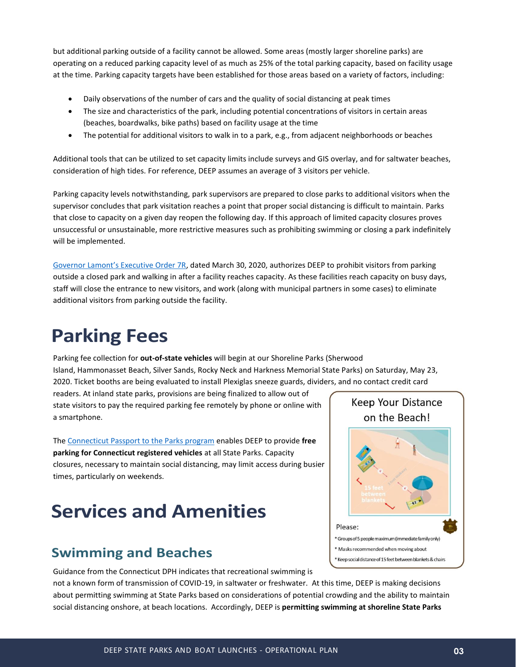but additional parking outside of a facility cannot be allowed. Some areas (mostly larger shoreline parks) are operating on a reduced parking capacity level of as much as 25% of the total parking capacity, based on facility usage at the time. Parking capacity targets have been established for those areas based on a variety of factors, including:

- Daily observations of the number of cars and the quality of social distancing at peak times
- The size and characteristics of the park, including potential concentrations of visitors in certain areas (beaches, boardwalks, bike paths) based on facility usage at the time
- The potential for additional visitors to walk in to a park, e.g., from adjacent neighborhoods or beaches

Additional tools that can be utilized to set capacity limits include surveys and GIS overlay, and for saltwater beaches, consideration of high tides. For reference, DEEP assumes an average of 3 visitors per vehicle.

Parking capacity levels notwithstanding, park supervisors are prepared to close parks to additional visitors when the supervisor concludes that park visitation reaches a point that proper social distancing is difficult to maintain. Parks that close to capacity on a given day reopen the following day. If this approach of limited capacity closures proves unsuccessful or unsustainable, more restrictive measures such as prohibiting swimming or closing a park indefinitely will be implemented.

[Governor Lamont's Executive Order 7R](https://portal.ct.gov/-/media/Office-of-the-Governor/Executive-Orders/Lamont-Executive-Orders/Executive-Order-No-7R.pdf), dated March 30, 2020, authorizes DEEP to prohibit visitors from parking outside a closed park and walking in after a facility reaches capacity. As these facilities reach capacity on busy days, staff will close the entrance to new visitors, and work (along with municipal partners in some cases) to eliminate additional visitors from parking outside the facility.

# **Parking Fees**

Parking fee collection for **out-of-state vehicles** will begin at our Shoreline Parks (Sherwood Island, Hammonasset Beach, Silver Sands, Rocky Neck and Harkness Memorial State Parks) on Saturday, May 23, 2020. Ticket booths are being evaluated to install Plexiglas sneeze guards, dividers, and no contact credit card

readers. At inland state parks, provisions are being finalized to allow out of state visitors to pay the required parking fee remotely by phone or online with a smartphone.

Th[e Connecticut Passport to the Parks program](https://portal.ct.gov/DEEP/State-Parks/Passport-to-the-Parks) enables DEEP to provide **free parking for Connecticut registered vehicles** at all State Parks. Capacity closures, necessary to maintain social distancing, may limit access during busier times, particularly on weekends.

# **Services and Amenities**

#### **Swimming and Beaches**

Guidance from the Connecticut DPH indicates that recreational swimming is

not a known form of transmission of COVID-19, in saltwater or freshwater. At this time, DEEP is making decisions about permitting swimming at State Parks based on considerations of potential crowding and the ability to maintain social distancing onshore, at beach locations. Accordingly, DEEP is **permitting swimming at shoreline State Parks**

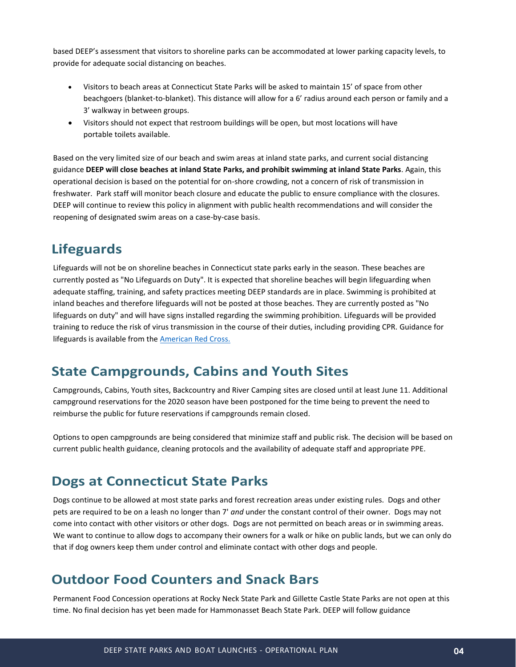based DEEP's assessment that visitors to shoreline parks can be accommodated at lower parking capacity levels, to provide for adequate social distancing on beaches.

- Visitors to beach areas at Connecticut State Parks will be asked to maintain 15' of space from other beachgoers (blanket-to-blanket). This distance will allow for a 6' radius around each person or family and a 3' walkway in between groups.
- Visitors should not expect that restroom buildings will be open, but most locations will have portable toilets available.

Based on the very limited size of our beach and swim areas at inland state parks, and current social distancing guidance **DEEP will close beaches at inland State Parks, and prohibit swimming at inland State Parks**. Again, this operational decision is based on the potential for on-shore crowding, not a concern of risk of transmission in freshwater. Park staff will monitor beach closure and educate the public to ensure compliance with the closures. DEEP will continue to review this policy in alignment with public health recommendations and will consider the reopening of designated swim areas on a case-by-case basis.

#### **Lifeguards**

Lifeguards will not be on shoreline beaches in Connecticut state parks early in the season. These beaches are currently posted as "No Lifeguards on Duty". It is expected that shoreline beaches will begin lifeguarding when adequate staffing, training, and safety practices meeting DEEP standards are in place. Swimming is prohibited at inland beaches and therefore lifeguards will not be posted at those beaches. They are currently posted as "No lifeguards on duty" and will have signs installed regarding the swimming prohibition. Lifeguards will be provided training to reduce the risk of virus transmission in the course of their duties, including providing CPR. Guidance for lifeguards is available from the American [Red Cross.](https://www.redcross.org/take-a-class/in-the-news/coronavirus-prevention-information-for-students)

#### **State Campgrounds, Cabins and Youth Sites**

Campgrounds, Cabins, Youth sites, Backcountry and River Camping sites are closed until at least June 11. Additional campground reservations for the 2020 season have been postponed for the time being to prevent the need to reimburse the public for future reservations if campgrounds remain closed.

Options to open campgrounds are being considered that minimize staff and public risk. The decision will be based on current public health guidance, cleaning protocols and the availability of adequate staff and appropriate PPE.

#### **Dogs at Connecticut State Parks**

Dogs continue to be allowed at most state parks and forest recreation areas under existing rules.  Dogs and other pets are required to be on a leash no longer than 7' *and* under the constant control of their owner.  Dogs may not come into contact with other visitors or other dogs.  Dogs are not permitted on beach areas or in swimming areas. We want to continue to allow dogs to accompany their owners for a walk or hike on public lands, but we can only do that if dog owners keep them under control and eliminate contact with other dogs and people.

#### **Outdoor Food Counters and Snack Bars**

Permanent Food Concession operations at Rocky Neck State Park and Gillette Castle State Parks are not open at this time. No final decision has yet been made for Hammonasset Beach State Park. DEEP will follow guidance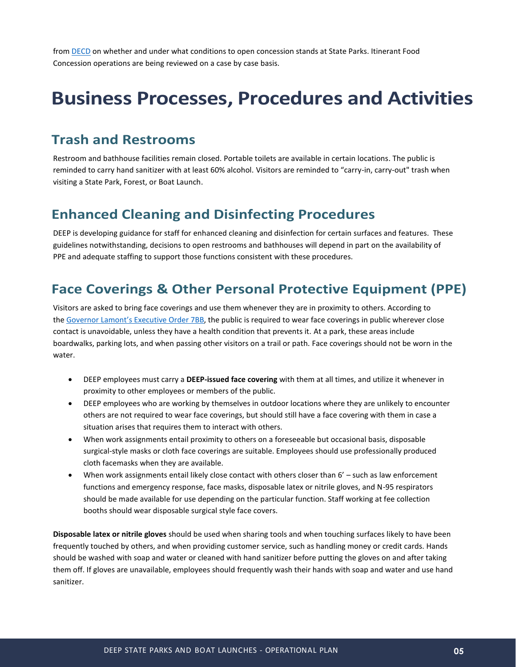from [DECD](https://portal.ct.gov/-/media/DECD/Covid_Business_Recovery/CTReopens_Restaurants_C5_V1.pdf?la=en) on whether and under what conditions to open concession stands at State Parks. Itinerant Food Concession operations are being reviewed on a case by case basis.

# **Business Processes, Procedures and Activities**

#### **Trash and Restrooms**

Restroom and bathhouse facilities remain closed. Portable toilets are available in certain locations. The public is reminded to carry hand sanitizer with at least 60% alcohol. Visitors are reminded to "carry-in, carry-out" trash when visiting a State Park, Forest, or Boat Launch.

#### **Enhanced Cleaning and Disinfecting Procedures**

DEEP is developing guidance for staff for enhanced cleaning and disinfection for certain surfaces and features. These guidelines notwithstanding, decisions to open restrooms and bathhouses will depend in part on the availability of PPE and adequate staffing to support those functions consistent with these procedures.

#### **Face Coverings & Other Personal Protective Equipment (PPE)**

Visitors are asked to bring face coverings and use them whenever they are in proximity to others. According to the Governor Lamont's [Executive](https://portal.ct.gov/-/media/Office-of-the-Governor/Executive-Orders/Lamont-Executive-Orders/Executive-Order-No-7BB.pdf) Order 7BB, the public is required to wear face coverings in public wherever close contact is unavoidable, unless they have a health condition that prevents it. At a park, these areas include boardwalks, parking lots, and when passing other visitors on a trail or path. Face coverings should not be worn in the water.

- DEEP employees must carry a **DEEP-issued face covering** with them at all times, and utilize it whenever in proximity to other employees or members of the public.
- DEEP employees who are working by themselves in outdoor locations where they are unlikely to encounter others are not required to wear face coverings, but should still have a face covering with them in case a situation arises that requires them to interact with others.
- When work assignments entail proximity to others on a foreseeable but occasional basis, disposable surgical-style masks or cloth face coverings are suitable. Employees should use professionally produced cloth facemasks when they are available.
- When work assignments entail likely close contact with others closer than 6' such as law enforcement functions and emergency response, face masks, disposable latex or nitrile gloves, and N-95 respirators should be made available for use depending on the particular function. Staff working at fee collection booths should wear disposable surgical style face covers.

**Disposable latex or nitrile gloves** should be used when sharing tools and when touching surfaces likely to have been frequently touched by others, and when providing customer service, such as handling money or credit cards. Hands should be washed with soap and water or cleaned with hand sanitizer before putting the gloves on and after taking them off. If gloves are unavailable, employees should frequently wash their hands with soap and water and use hand sanitizer.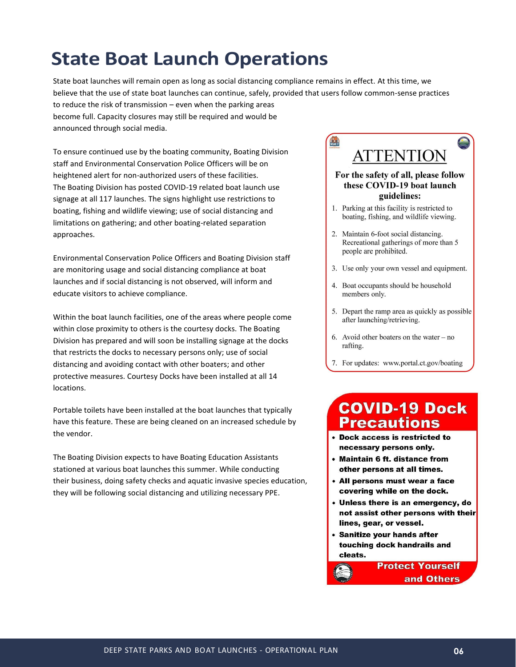# **State Boat Launch Operations**

State boat launches will remain open as long as social distancing compliance remains in effect. At this time, we believe that the use of state boat launches can continue, safely, provided that users follow common-sense practices to reduce the risk of transmission – even when the parking areas become full. Capacity closures may still be required and would be announced through social media.

To ensure continued use by the boating community, Boating Division staff and Environmental Conservation Police Officers will be on heightened alert for non-authorized users of these facilities. The Boating Division has posted COVID-19 related boat launch use signage at all 117 launches. The signs highlight use restrictions to boating, fishing and wildlife viewing; use of social distancing and limitations on gathering; and other boating-related separation approaches.

Environmental Conservation Police Officers and Boating Division staff are monitoring usage and social distancing compliance at boat launches and if social distancing is not observed, will inform and educate visitors to achieve compliance.

Within the boat launch facilities, one of the areas where people come within close proximity to others is the courtesy docks. The Boating Division has prepared and will soon be installing signage at the docks that restricts the docks to necessary persons only; use of social distancing and avoiding contact with other boaters; and other protective measures. Courtesy Docks have been installed at all 14 locations.

Portable toilets have been installed at the boat launches that typically have this feature. These are being cleaned on an increased schedule by the vendor.

The Boating Division expects to have Boating Education Assistants stationed at various boat launches this summer. While conducting their business, doing safety checks and aquatic invasive species education, they will be following social distancing and utilizing necessary PPE.

### **CERTI ATTENTION**

#### For the safety of all, please follow these COVID-19 boat launch guidelines:

- 1. Parking at this facility is restricted to boating, fishing, and wildlife viewing.
- 2. Maintain 6-foot social distancing. Recreational gatherings of more than 5 people are prohibited.
- 3. Use only your own vessel and equipment.
- 4. Boat occupants should be household members only.
- 5. Depart the ramp area as quickly as possible after launching/retrieving.
- 6. Avoid other boaters on the water  $-$  no rafting.
- 7. For updates: www.portal.ct.gov/boating

#### **COVID-19 Dock Precautions**

- Dock access is restricted to necessary persons only.
- Maintain 6 ft. distance from other persons at all times.
- All persons must wear a face covering while on the dock.
- Unless there is an emergency, do not assist other persons with their lines, gear, or vessel.

**Protect Yourself** 

and Others

• Sanitize your hands after touching dock handrails and cleats.

DEEP STATE PARKS AND BOAT LAUNCHES - OPERATIONAL PLAN **06**